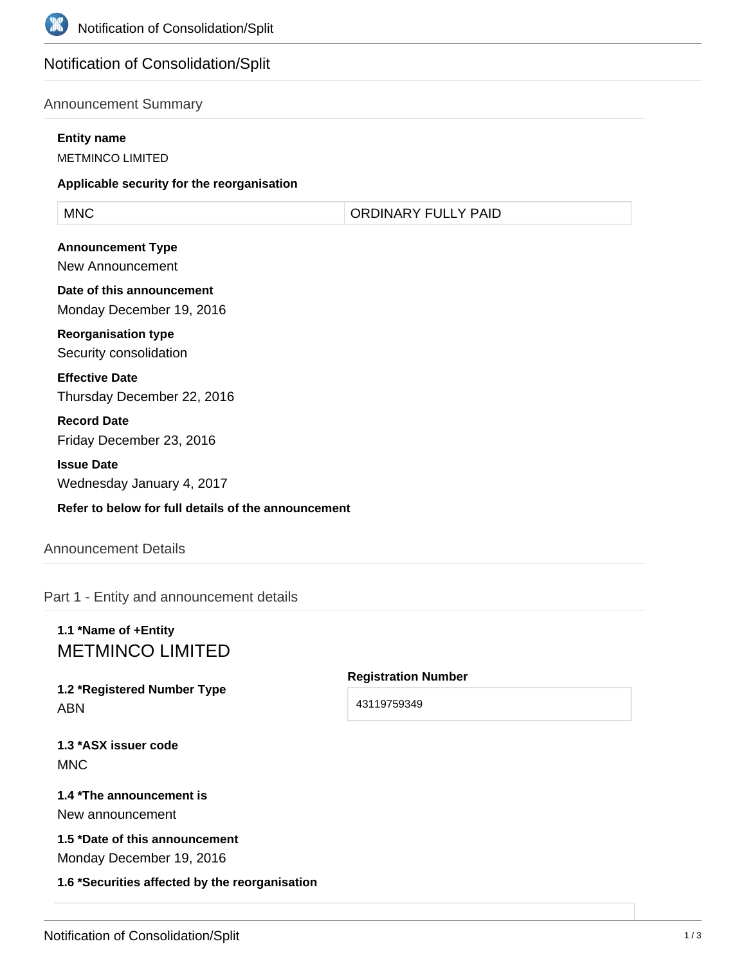

# Notification of Consolidation/Split

## Announcement Summary

#### **Entity name**

METMINCO LIMITED

#### **Applicable security for the reorganisation**

MNC ORDINARY FULLY PAID

**Announcement Type** New Announcement

**Date of this announcement** Monday December 19, 2016

**Reorganisation type** Security consolidation

**Effective Date** Thursday December 22, 2016

**Record Date** Friday December 23, 2016

**Issue Date** Wednesday January 4, 2017

#### **Refer to below for full details of the announcement**

#### Announcement Details

Part 1 - Entity and announcement details

# **1.1 \*Name of +Entity** METMINCO LIMITED

**1.2 \*Registered Number Type** ABN

#### **Registration Number**

43119759349

**1.3 \*ASX issuer code MNC** 

# **1.4 \*The announcement is** New announcement

**1.5 \*Date of this announcement** Monday December 19, 2016

**1.6 \*Securities affected by the reorganisation**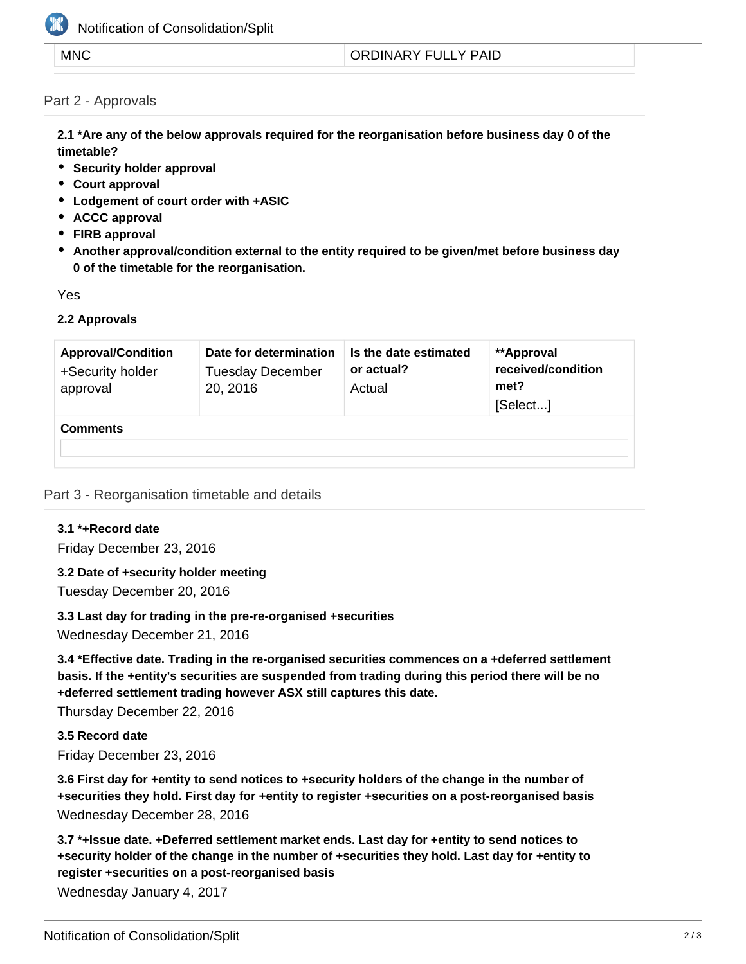

# Notification of Consolidation/Split

#### MNC **ORDINARY FULLY PAID**

### Part 2 - Approvals

**2.1 \*Are any of the below approvals required for the reorganisation before business day 0 of the timetable?**

- **•** Security holder approval
- **Court approval**
- **Lodgement of court order with +ASIC**
- **ACCC approval**
- **FIRB approval**
- **Another approval/condition external to the entity required to be given/met before business day 0 of the timetable for the reorganisation.**

Yes

#### **2.2 Approvals**

| <b>Approval/Condition</b><br>+Security holder<br>approval | Date for determination<br><b>Tuesday December</b><br>20, 2016 | Is the date estimated<br>or actual?<br>Actual | **Approval<br>received/condition<br>met?<br>[Select] |
|-----------------------------------------------------------|---------------------------------------------------------------|-----------------------------------------------|------------------------------------------------------|
| <b>Comments</b>                                           |                                                               |                                               |                                                      |

#### Part 3 - Reorganisation timetable and details

## **3.1 \*+Record date**

Friday December 23, 2016

**3.2 Date of +security holder meeting**

Tuesday December 20, 2016

#### **3.3 Last day for trading in the pre-re-organised +securities**

Wednesday December 21, 2016

**3.4 \*Effective date. Trading in the re-organised securities commences on a +deferred settlement basis. If the +entity's securities are suspended from trading during this period there will be no +deferred settlement trading however ASX still captures this date.**

Thursday December 22, 2016

**3.5 Record date** Friday December 23, 2016

**3.6 First day for +entity to send notices to +security holders of the change in the number of +securities they hold. First day for +entity to register +securities on a post-reorganised basis** Wednesday December 28, 2016

**3.7 \*+Issue date. +Deferred settlement market ends. Last day for +entity to send notices to +security holder of the change in the number of +securities they hold. Last day for +entity to register +securities on a post-reorganised basis**

Wednesday January 4, 2017